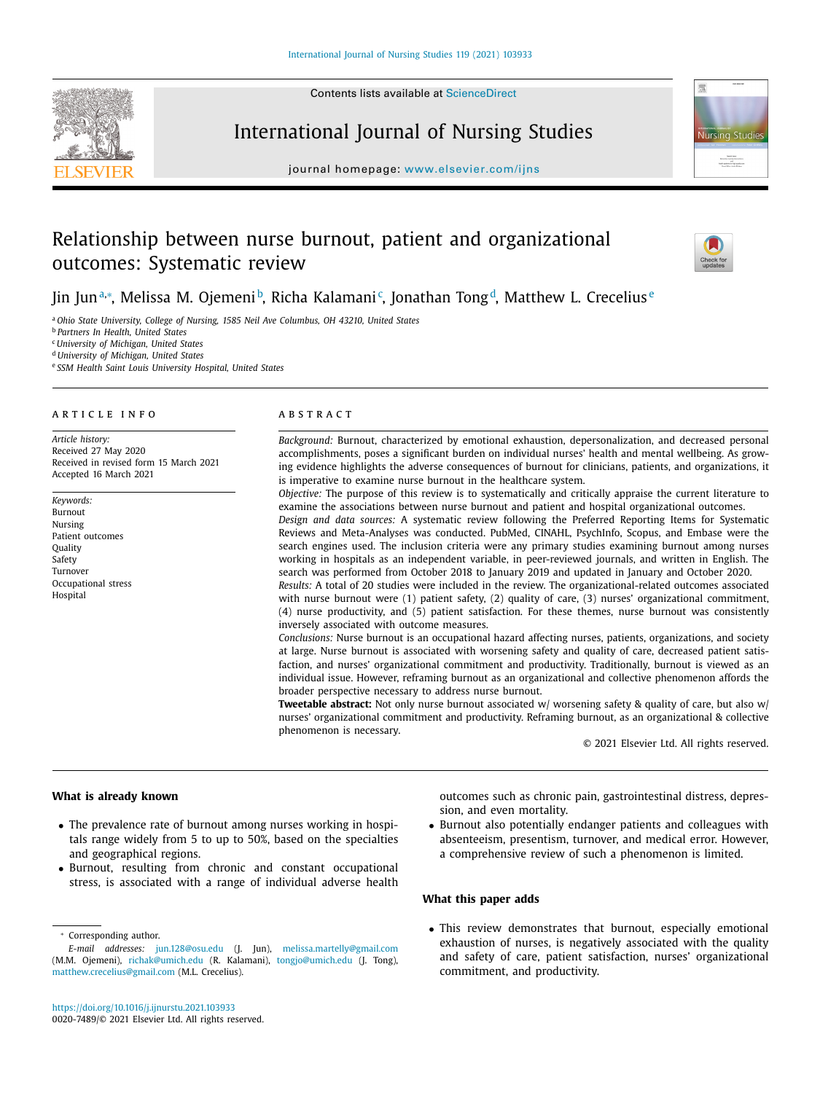Contents lists available at [ScienceDirect](http://www.ScienceDirect.com)

# International Journal of Nursing Studies

journal homepage: [www.elsevier.com/ijns](http://www.elsevier.com/ijns)

## Relationship between nurse burnout, patient and organizational outcomes: Systematic review



<sup>a</sup> *Ohio State University, College of Nursing, 1585 Neil Ave Columbus, OH 43210, United States*

<sup>b</sup> *Partners In Health, United States*

<sup>c</sup> *University of Michigan, United States*

<sup>d</sup> *University of Michigan, United States*

<sup>e</sup> *SSM Health Saint Louis University Hospital, United States*

#### ARTICLE INFO

*Article history:* Received 27 May 2020 Received in revised form 15 March 2021 Accepted 16 March 2021

*Keywords:* Burnout Nursing Patient outcomes **Quality** Safety Turnover Occupational stress Hospital

## A B S T R A C T

*Background:* Burnout, characterized by emotional exhaustion, depersonalization, and decreased personal accomplishments, poses a significant burden on individual nurses' health and mental wellbeing. As growing evidence highlights the adverse consequences of burnout for clinicians, patients, and organizations, it is imperative to examine nurse burnout in the healthcare system.

*Objective:* The purpose of this review is to systematically and critically appraise the current literature to examine the associations between nurse burnout and patient and hospital organizational outcomes.

*Design and data sources:* A systematic review following the Preferred Reporting Items for Systematic Reviews and Meta-Analyses was conducted. PubMed, CINAHL, PsychInfo, Scopus, and Embase were the search engines used. The inclusion criteria were any primary studies examining burnout among nurses working in hospitals as an independent variable, in peer-reviewed journals, and written in English. The search was performed from October 2018 to January 2019 and updated in January and October 2020.

*Results:* A total of 20 studies were included in the review. The organizational-related outcomes associated with nurse burnout were (1) patient safety, (2) quality of care, (3) nurses' organizational commitment, (4) nurse productivity, and (5) patient satisfaction. For these themes, nurse burnout was consistently inversely associated with outcome measures.

*Conclusions:* Nurse burnout is an occupational hazard affecting nurses, patients, organizations, and society at large. Nurse burnout is associated with worsening safety and quality of care, decreased patient satisfaction, and nurses' organizational commitment and productivity. Traditionally, burnout is viewed as an individual issue. However, reframing burnout as an organizational and collective phenomenon affords the broader perspective necessary to address nurse burnout.

**Tweetable abstract:** Not only nurse burnout associated w/ worsening safety & quality of care, but also w/ nurses' organizational commitment and productivity. Reframing burnout, as an organizational & collective phenomenon is necessary.

© 2021 Elsevier Ltd. All rights reserved.

## **What is already known**

- The prevalence rate of burnout among nurses working in hospitals range widely from 5 to up to 50%, based on the specialties and geographical regions.
- Burnout, resulting from chronic and constant occupational stress, is associated with a range of individual adverse health

<sup>∗</sup> Corresponding author.

outcomes such as chronic pain, gastrointestinal distress, depression, and even mortality.

• Burnout also potentially endanger patients and colleagues with absenteeism, presentism, turnover, and medical error. However, a comprehensive review of such a phenomenon is limited.

## **What this paper adds**

• This review demonstrates that burnout, especially emotional exhaustion of nurses, is negatively associated with the quality and safety of care, patient satisfaction, nurses' organizational commitment, and productivity.



**Nursing Studie** 



*E-mail addresses:* [jun.128@osu.edu](mailto:jun.128@osu.edu) (J. Jun), [melissa.martelly@gmail.com](mailto:melissa.martelly@gmail.com) (M.M. Ojemeni), [richak@umich.edu](mailto:richak@umich.edu) (R. Kalamani), [tongjo@umich.edu](mailto:tongjo@umich.edu) (J. Tong), [matthew.crecelius@gmail.com](mailto:matthew.crecelius@gmail.com) (M.L. Crecelius).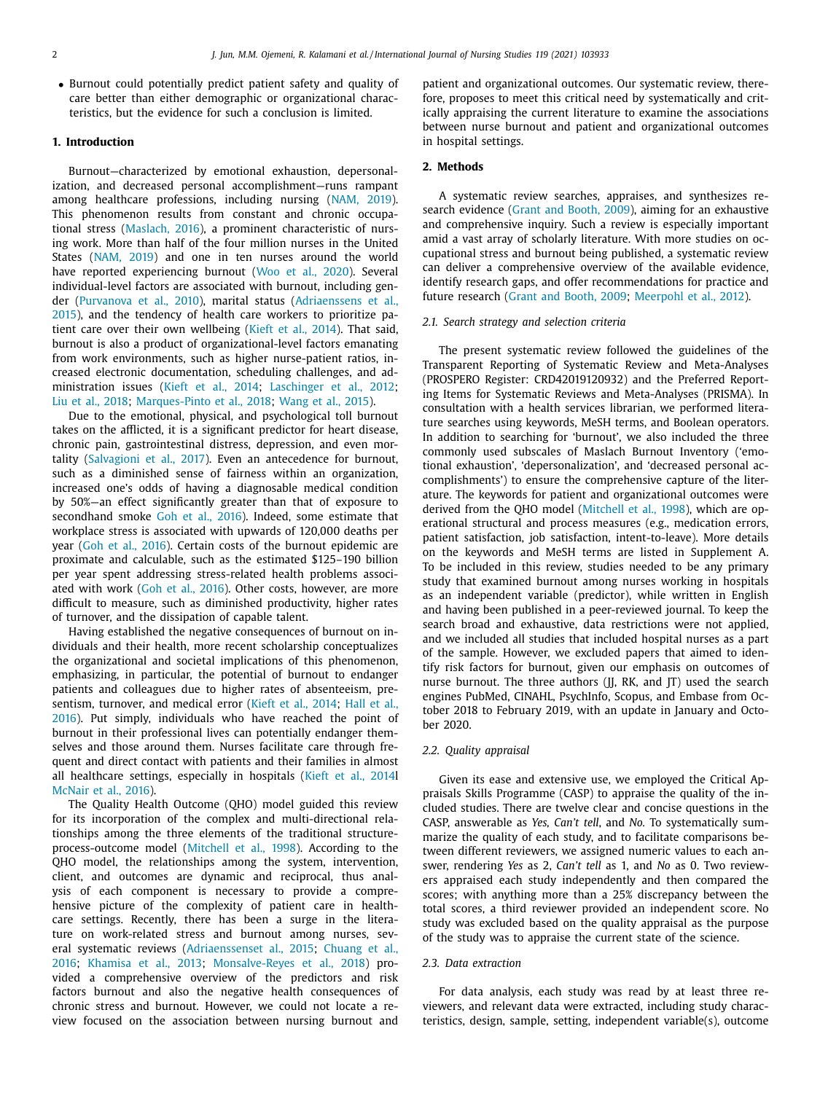• Burnout could potentially predict patient safety and quality of care better than either demographic or organizational characteristics, but the evidence for such a conclusion is limited.

## **1. Introduction**

Burnout—characterized by emotional exhaustion, depersonalization, and decreased personal accomplishment—runs rampant among healthcare professions, including nursing [\(NAM,](#page-10-0) 2019). This phenomenon results from constant and chronic occupational stress [\(Maslach,](#page-10-0) 2016), a prominent characteristic of nursing work. More than half of the four million nurses in the United States [\(NAM,](#page-10-0) 2019) and one in ten nurses around the world have reported experiencing burnout (Woo et al., [2020\)](#page-10-0). Several individual-level factors are associated with burnout, including gender [\(Purvanova](#page-10-0) et al., 2010), marital status [\(Adriaenssens](#page-9-0) et al., 2015), and the tendency of health care workers to prioritize patient care over their own wellbeing [\(Kieft](#page-10-0) et al., 2014). That said, burnout is also a product of organizational-level factors emanating from work environments, such as higher nurse-patient ratios, increased electronic documentation, scheduling challenges, and administration issues (Kieft et al., [2014;](#page-10-0) [Laschinger](#page-10-0) et al., 2012; Liu et al., [2018;](#page-10-0) [Marques-Pinto](#page-10-0) et al., 2018; [Wang](#page-10-0) et al., 2015).

Due to the emotional, physical, and psychological toll burnout takes on the afflicted, it is a significant predictor for heart disease, chronic pain, gastrointestinal distress, depression, and even mortality [\(Salvagioni](#page-10-0) et al., 2017). Even an antecedence for burnout, such as a diminished sense of fairness within an organization, increased one's odds of having a diagnosable medical condition by 50%—an effect significantly greater than that of exposure to secondhand smoke Goh et al., [2016\)](#page-9-0). Indeed, some estimate that workplace stress is associated with upwards of 120,000 deaths per year (Goh et al., [2016\)](#page-9-0). Certain costs of the burnout epidemic are proximate and calculable, such as the estimated \$125–190 billion per year spent addressing stress-related health problems associated with work (Goh et al., [2016\)](#page-9-0). Other costs, however, are more difficult to measure, such as diminished productivity, higher rates of turnover, and the dissipation of capable talent.

Having established the negative consequences of burnout on individuals and their health, more recent scholarship conceptualizes the organizational and societal implications of this phenomenon, emphasizing, in particular, the potential of burnout to endanger patients and colleagues due to higher rates of absenteeism, pre-sentism, turnover, and medical error (Kieft et al., [2014;](#page-10-0) Hall et al., 2016). Put simply, [individuals](#page-9-0) who have reached the point of burnout in their professional lives can potentially endanger themselves and those around them. Nurses facilitate care through frequent and direct contact with patients and their families in almost all healthcare settings, especially in hospitals [\(Kieft](#page-10-0) et al., 2014l [McNair](#page-10-0) et al., 2016).

The Quality Health Outcome (QHO) model guided this review for its incorporation of the complex and multi-directional relationships among the three elements of the traditional structureprocess-outcome model [\(Mitchell](#page-10-0) et al., 1998). According to the QHO model, the relationships among the system, intervention, client, and outcomes are dynamic and reciprocal, thus analysis of each component is necessary to provide a comprehensive picture of the complexity of patient care in healthcare settings. Recently, there has been a surge in the literature on work-related stress and burnout among nurses, several systematic reviews [\(Adriaenssenset](#page-9-0) al., 2015; Chuang et al., 2016; [Khamisa](#page-10-0) et al., 2013; [Monsalve-Reyes](#page-9-0) et al., 2018) provided a comprehensive overview of the predictors and risk factors burnout and also the negative health consequences of chronic stress and burnout. However, we could not locate a review focused on the association between nursing burnout and

patient and organizational outcomes. Our systematic review, therefore, proposes to meet this critical need by systematically and critically appraising the current literature to examine the associations between nurse burnout and patient and organizational outcomes in hospital settings.

## **2. Methods**

A systematic review searches, appraises, and synthesizes research evidence (Grant and [Booth,](#page-9-0) 2009), aiming for an exhaustive and comprehensive inquiry. Such a review is especially important amid a vast array of scholarly literature. With more studies on occupational stress and burnout being published, a systematic review can deliver a comprehensive overview of the available evidence, identify research gaps, and offer recommendations for practice and future research (Grant and [Booth,](#page-9-0) 2009; [Meerpohl](#page-10-0) et al., 2012).

#### *2.1. Search strategy and selection criteria*

The present systematic review followed the guidelines of the Transparent Reporting of Systematic Review and Meta-Analyses (PROSPERO Register: CRD42019120932) and the Preferred Reporting Items for Systematic Reviews and Meta-Analyses (PRISMA). In consultation with a health services librarian, we performed literature searches using keywords, MeSH terms, and Boolean operators. In addition to searching for 'burnout', we also included the three commonly used subscales of Maslach Burnout Inventory ('emotional exhaustion', 'depersonalization', and 'decreased personal accomplishments') to ensure the comprehensive capture of the literature. The keywords for patient and organizational outcomes were derived from the QHO model [\(Mitchell](#page-10-0) et al., 1998), which are operational structural and process measures (e.g., medication errors, patient satisfaction, job satisfaction, intent-to-leave). More details on the keywords and MeSH terms are listed in Supplement A. To be included in this review, studies needed to be any primary study that examined burnout among nurses working in hospitals as an independent variable (predictor), while written in English and having been published in a peer-reviewed journal. To keep the search broad and exhaustive, data restrictions were not applied, and we included all studies that included hospital nurses as a part of the sample. However, we excluded papers that aimed to identify risk factors for burnout, given our emphasis on outcomes of nurse burnout. The three authors (JJ, RK, and JT) used the search engines PubMed, CINAHL, PsychInfo, Scopus, and Embase from October 2018 to February 2019, with an update in January and October 2020.

#### *2.2. Quality appraisal*

Given its ease and extensive use, we employed the Critical Appraisals Skills Programme (CASP) to appraise the quality of the included studies. There are twelve clear and concise questions in the CASP, answerable as *Yes, Can't tell*, and *No.* To systematically summarize the quality of each study, and to facilitate comparisons between different reviewers, we assigned numeric values to each answer, rendering *Yes* as 2, *Can't tell* as 1, and *No* as 0. Two reviewers appraised each study independently and then compared the scores; with anything more than a 25% discrepancy between the total scores, a third reviewer provided an independent score. No study was excluded based on the quality appraisal as the purpose of the study was to appraise the current state of the science.

## *2.3. Data extraction*

For data analysis, each study was read by at least three reviewers, and relevant data were extracted, including study characteristics, design, sample, setting, independent variable(s), outcome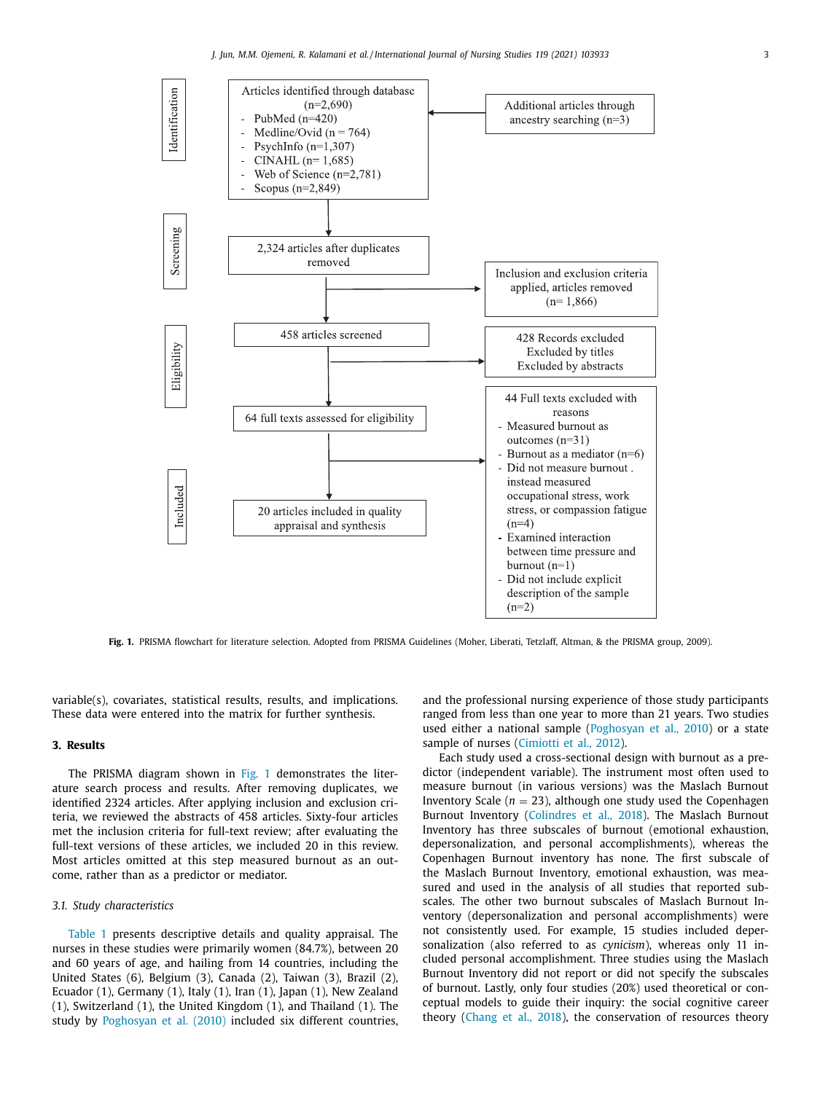

**Fig. 1.** PRISMA flowchart for literature selection. Adopted from PRISMA Guidelines (Moher, Liberati, Tetzlaff, Altman, & the PRISMA group, 2009).

variable(s), covariates, statistical results, results, and implications. These data were entered into the matrix for further synthesis.

#### **3. Results**

The PRISMA diagram shown in Fig. 1 demonstrates the literature search process and results. After removing duplicates, we identified 2324 articles. After applying inclusion and exclusion criteria, we reviewed the abstracts of 458 articles. Sixty-four articles met the inclusion criteria for full-text review; after evaluating the full-text versions of these articles, we included 20 in this review. Most articles omitted at this step measured burnout as an outcome, rather than as a predictor or mediator.

#### *3.1. Study characteristics*

[Table](#page-3-0) 1 presents descriptive details and quality appraisal. The nurses in these studies were primarily women (84.7%), between 20 and 60 years of age, and hailing from 14 countries, including the United States (6), Belgium (3), Canada (2), Taiwan (3), Brazil (2), Ecuador (1), Germany (1), Italy (1), Iran (1), Japan (1), New Zealand (1), Switzerland (1), the United Kingdom (1), and Thailand (1). The study by [Poghosyan](#page-10-0) et al. (2010) included six different countries, and the professional nursing experience of those study participants ranged from less than one year to more than 21 years. Two studies used either a national sample [\(Poghosyan](#page-10-0) et al., 2010) or a state sample of nurses [\(Cimiotti](#page-9-0) et al., 2012).

Each study used a cross-sectional design with burnout as a predictor (independent variable). The instrument most often used to measure burnout (in various versions) was the Maslach Burnout Inventory Scale ( $n = 23$ ), although one study used the Copenhagen Burnout Inventory [\(Colindres](#page-9-0) et al., 2018). The Maslach Burnout Inventory has three subscales of burnout (emotional exhaustion, depersonalization, and personal accomplishments), whereas the Copenhagen Burnout inventory has none. The first subscale of the Maslach Burnout Inventory, emotional exhaustion, was measured and used in the analysis of all studies that reported subscales. The other two burnout subscales of Maslach Burnout Inventory (depersonalization and personal accomplishments) were not consistently used. For example, 15 studies included depersonalization (also referred to as *cynicism*), whereas only 11 included personal accomplishment. Three studies using the Maslach Burnout Inventory did not report or did not specify the subscales of burnout. Lastly, only four studies (20%) used theoretical or conceptual models to guide their inquiry: the social cognitive career theory [\(Chang](#page-9-0) et al., 2018), the conservation of resources theory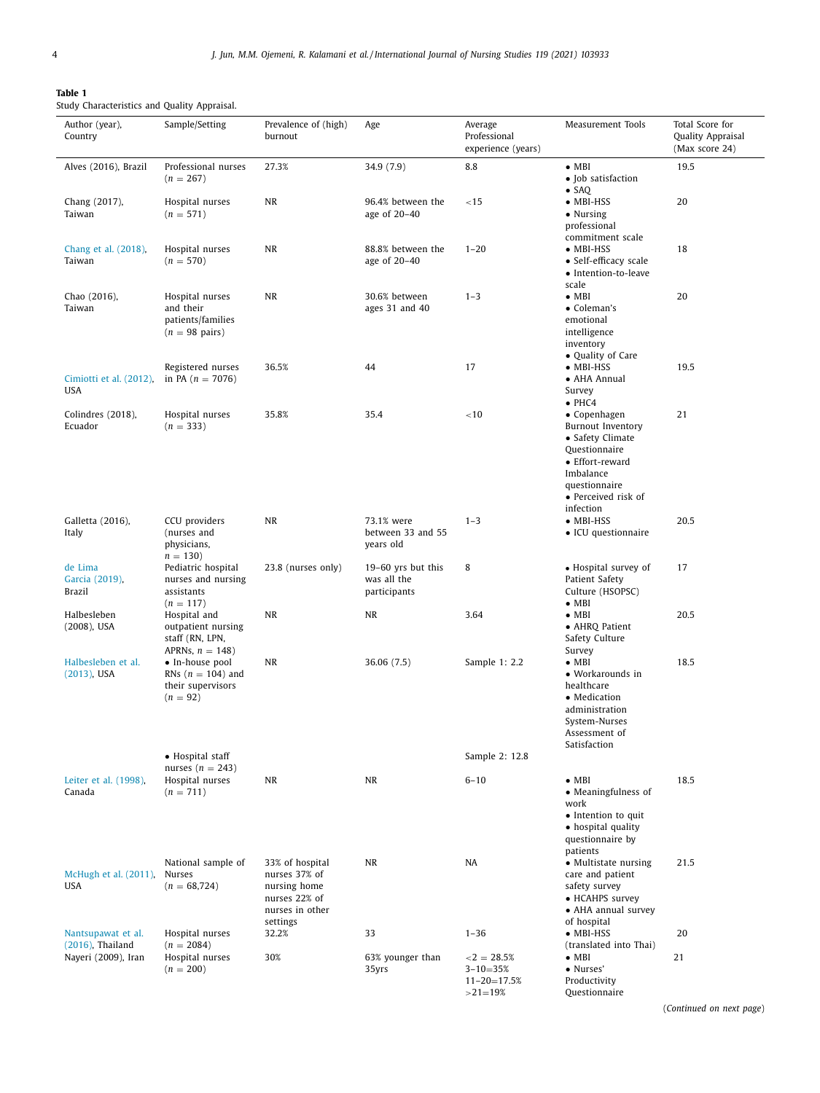<span id="page-3-0"></span>

| Table 1                                      |  |
|----------------------------------------------|--|
| Study Characteristics and Quality Appraisal. |  |
|                                              |  |

| Author (year),<br>Country                  | Sample/Setting                                                                | Prevalence of (high)<br>burnout                                                                  | Age                                               | Average<br>Professional<br>experience (years)                     | Measurement Tools                                                                                                                                                  | Total Score for<br>Quality Appraisal<br>(Max score 24) |
|--------------------------------------------|-------------------------------------------------------------------------------|--------------------------------------------------------------------------------------------------|---------------------------------------------------|-------------------------------------------------------------------|--------------------------------------------------------------------------------------------------------------------------------------------------------------------|--------------------------------------------------------|
| Alves (2016), Brazil                       | Professional nurses<br>$(n = 267)$                                            | 27.3%                                                                                            | 34.9 (7.9)                                        | 8.8                                                               | $\bullet$ MBI<br>• Job satisfaction                                                                                                                                | 19.5                                                   |
| Chang (2017),<br>Taiwan                    | Hospital nurses<br>$(n = 571)$                                                | NR                                                                                               | 96.4% between the<br>age of 20-40                 | < 15                                                              | $\bullet$ SAQ<br>$\bullet$ MBI-HSS<br>• Nursing<br>professional<br>commitment scale                                                                                | 20                                                     |
| Chang et al. (2018),<br>Taiwan             | Hospital nurses<br>$(n = 570)$                                                | NR                                                                                               | 88.8% between the<br>age of 20-40                 | $1 - 20$                                                          | $\bullet$ MBI-HSS<br>• Self-efficacy scale<br>• Intention-to-leave<br>scale                                                                                        | 18                                                     |
| Chao (2016),<br>Taiwan                     | Hospital nurses<br>and their<br>patients/families<br>$(n = 98 \text{ pairs})$ | NR                                                                                               | 30.6% between<br>ages 31 and 40                   | $1 - 3$                                                           | $\bullet$ MBI<br>• Coleman's<br>emotional<br>intelligence<br>inventory<br>• Quality of Care                                                                        | 20                                                     |
| Cimiotti et al. (2012),<br>USA             | Registered nurses<br>in PA $(n = 7076)$                                       | 36.5%                                                                                            | 44                                                | 17                                                                | $\bullet$ MBI-HSS<br>• AHA Annual<br>Survey<br>$\bullet$ PHC4                                                                                                      | 19.5                                                   |
| Colindres (2018),<br>Ecuador               | Hospital nurses<br>$(n = 333)$                                                | 35.8%                                                                                            | 35.4                                              | < 10                                                              | • Copenhagen<br><b>Burnout Inventory</b><br>• Safety Climate<br>Questionnaire<br>• Effort-reward<br>Imbalance<br>questionnaire<br>• Perceived risk of<br>infection | 21                                                     |
| Galletta (2016),<br>Italy                  | CCU providers<br>(nurses and<br>physicians,<br>$n = 130$                      | <b>NR</b>                                                                                        | 73.1% were<br>between 33 and 55<br>years old      | $1 - 3$                                                           | $\bullet$ MBI-HSS<br>• ICU questionnaire                                                                                                                           | 20.5                                                   |
| de Lima<br>Garcia (2019),<br><b>Brazil</b> | Pediatric hospital<br>nurses and nursing<br>assistants<br>$(n = 117)$         | 23.8 (nurses only)                                                                               | 19-60 yrs but this<br>was all the<br>participants | 8                                                                 | • Hospital survey of<br>Patient Safety<br>Culture (HSOPSC)<br>$\bullet$ MBI                                                                                        | 17                                                     |
| Halbesleben<br>$(2008)$ , USA              | Hospital and<br>outpatient nursing<br>staff (RN, LPN,<br>APRNs, $n = 148$ )   | NR                                                                                               | NR                                                | 3.64                                                              | $\bullet$ MBI<br>• AHRQ Patient<br>Safety Culture<br>Survey                                                                                                        | 20.5                                                   |
| Halbesleben et al.<br>$(2013)$ , USA       | • In-house pool<br>RNs ( $n = 104$ ) and<br>their supervisors<br>$(n = 92)$   | NR                                                                                               | 36.06 (7.5)                                       | Sample 1: 2.2                                                     | $\bullet$ MBI<br>• Workarounds in<br>healthcare<br>• Medication<br>administration<br>System-Nurses<br>Assessment of<br>Satisfaction                                | 18.5                                                   |
|                                            | • Hospital staff<br>nurses $(n = 243)$                                        |                                                                                                  |                                                   | Sample 2: 12.8                                                    |                                                                                                                                                                    |                                                        |
| Leiter et al. (1998),<br>Canada            | Hospital nurses<br>$(n = 711)$                                                | NR                                                                                               | NR                                                | $6 - 10$                                                          | $\bullet$ MBI<br>• Meaningfulness of<br>work<br>$\bullet$ Intention to quit<br>• hospital quality<br>questionnaire by<br>patients                                  | 18.5                                                   |
| McHugh et al. (2011).<br><b>USA</b>        | National sample of<br>Nurses<br>$(n = 68, 724)$                               | 33% of hospital<br>nurses 37% of<br>nursing home<br>nurses 22% of<br>nurses in other<br>settings | NR                                                | NA                                                                | • Multistate nursing<br>care and patient<br>safety survey<br>• HCAHPS survey<br>• AHA annual survey<br>of hospital                                                 | 21.5                                                   |
| Nantsupawat et al.<br>$(2016)$ , Thailand  | Hospital nurses<br>$(n = 2084)$                                               | 32.2%                                                                                            | 33                                                | $1 - 36$                                                          | $\bullet$ MBI-HSS<br>(translated into Thai)                                                                                                                        | 20                                                     |
| Nayeri (2009), Iran                        | Hospital nurses<br>$(n = 200)$                                                | 30%                                                                                              | 63% younger than<br>35yrs                         | $<$ 2 = 28.5%<br>$3 - 10 = 35%$<br>$11 - 20 = 17.5%$<br>$>21=19%$ | $\bullet$ MBI<br>• Nurses'<br>Productivity<br>Questionnaire                                                                                                        | 21                                                     |

(*Continued on next page*)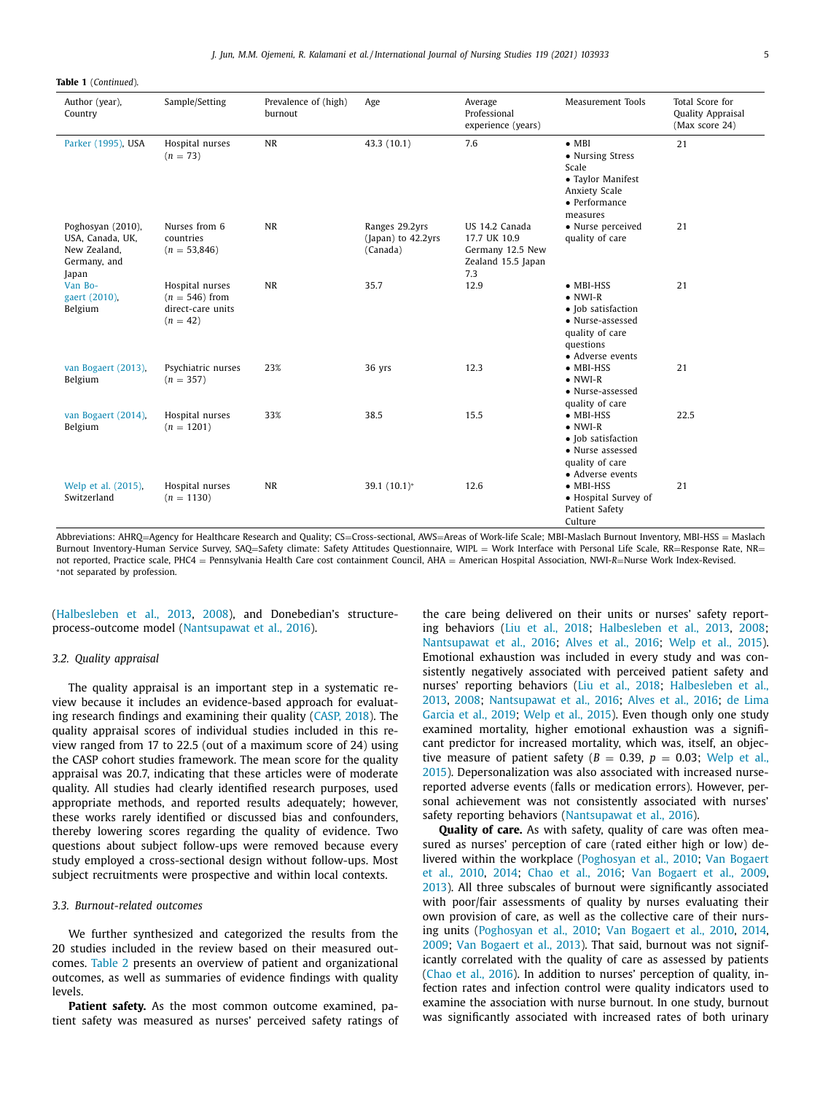**Table 1** (*Continued*).

| Author (year),<br>Country                                                      | Sample/Setting                                                         | Prevalence of (high)<br>burnout | Age                                              | Average<br>Professional<br>experience (years)                                   | Measurement Tools                                                                                                                  | Total Score for<br>Quality Appraisal<br>(Max score 24) |
|--------------------------------------------------------------------------------|------------------------------------------------------------------------|---------------------------------|--------------------------------------------------|---------------------------------------------------------------------------------|------------------------------------------------------------------------------------------------------------------------------------|--------------------------------------------------------|
| Parker (1995), USA                                                             | Hospital nurses<br>$(n = 73)$                                          | <b>NR</b>                       | 43.3 (10.1)                                      | 7.6                                                                             | $\bullet$ MBI<br>• Nursing Stress<br>Scale<br>• Taylor Manifest<br>Anxiety Scale<br>• Performance<br>measures                      | 21                                                     |
| Poghosyan (2010),<br>USA, Canada, UK,<br>New Zealand,<br>Germany, and<br>Japan | Nurses from 6<br>countries<br>$(n = 53,846)$                           | <b>NR</b>                       | Ranges 29.2yrs<br>(Japan) to 42.2yrs<br>(Canada) | US 14.2 Canada<br>17.7 UK 10.9<br>Germany 12.5 New<br>Zealand 15.5 Japan<br>7.3 | • Nurse perceived<br>quality of care                                                                                               | 21                                                     |
| Van Bo-<br>gaert (2010),<br>Belgium                                            | Hospital nurses<br>$(n = 546)$ from<br>direct-care units<br>$(n = 42)$ | <b>NR</b>                       | 35.7                                             | 12.9                                                                            | $\bullet$ MBI-HSS<br>$\bullet$ NWI-R<br>• Job satisfaction<br>• Nurse-assessed<br>quality of care<br>questions<br>• Adverse events | 21                                                     |
| van Bogaert (2013),<br>Belgium                                                 | Psychiatric nurses<br>$(n = 357)$                                      | 23%                             | 36 yrs                                           | 12.3                                                                            | $\bullet$ MBI-HSS<br>$\bullet$ NWI-R<br>• Nurse-assessed<br>quality of care                                                        | 21                                                     |
| van Bogaert (2014),<br>Belgium                                                 | Hospital nurses<br>$(n = 1201)$                                        | 33%                             | 38.5                                             | 15.5                                                                            | $\bullet$ MBI-HSS<br>$\bullet$ NWI-R<br>• Job satisfaction<br>• Nurse assessed<br>quality of care<br>• Adverse events              | 22.5                                                   |
| Welp et al. (2015),<br>Switzerland                                             | Hospital nurses<br>$(n = 1130)$                                        | <b>NR</b>                       | 39.1 (10.1)*                                     | 12.6                                                                            | $\bullet$ MBI-HSS<br>• Hospital Survey of<br>Patient Safety<br>Culture                                                             | 21                                                     |

Abbreviations: AHRQ=Agency for Healthcare Research and Quality; CS=Cross-sectional, AWS=Areas of Work-life Scale; MBI-Maslach Burnout Inventory, MBI-HSS = Maslach Burnout Inventory-Human Service Survey, SAQ=Safety climate: Safety Attitudes Questionnaire, WIPL = Work Interface with Personal Life Scale, RR=Response Rate, NR= not reported, Practice scale, PHC4 = Pennsylvania Health Care cost containment Council, AHA = American Hospital Association, NWI-*R*=Nurse Work Index-Revised. <sup>∗</sup>not separated by profession.

[\(Halbesleben](#page-9-0) et al., 2013, [2008\)](#page-9-0), and Donebedian's structureprocess-outcome model [\(Nantsupawat](#page-10-0) et al., 2016).

#### *3.2. Quality appraisal*

The quality appraisal is an important step in a systematic review because it includes an evidence-based approach for evaluating research findings and examining their quality [\(CASP,](#page-9-0) 2018). The quality appraisal scores of individual studies included in this review ranged from 17 to 22.5 (out of a maximum score of 24) using the CASP cohort studies framework. The mean score for the quality appraisal was 20.7, indicating that these articles were of moderate quality. All studies had clearly identified research purposes, used appropriate methods, and reported results adequately; however, these works rarely identified or discussed bias and confounders, thereby lowering scores regarding the quality of evidence. Two questions about subject follow-ups were removed because every study employed a cross-sectional design without follow-ups. Most subject recruitments were prospective and within local contexts.

## *3.3. Burnout-related outcomes*

We further synthesized and categorized the results from the 20 studies included in the review based on their measured outcomes. [Table](#page-5-0) 2 presents an overview of patient and organizational outcomes, as well as summaries of evidence findings with quality levels.

**Patient safety.** As the most common outcome examined, patient safety was measured as nurses' perceived safety ratings of the care being delivered on their units or nurses' safety reporting behaviors (Liu et al., [2018;](#page-10-0) [Halbesleben](#page-9-0) et al., 2013, [2008;](#page-9-0) [Nantsupawat](#page-10-0) et al., 2016; [Alves](#page-9-0) et al., 2016; [Welp](#page-10-0) et al., 2015). Emotional exhaustion was included in every study and was consistently negatively associated with perceived patient safety and nurses' reporting behaviors (Liu et al., [2018;](#page-10-0) Halbesleben et al., 2013, [2008;](#page-9-0) [Nantsupawat](#page-9-0) et al., 2016; [Alves](#page-9-0) et al., 2016; de Lima Garcia et al., 2019; [Welp](#page-10-0) et al., 2015). Even though only one study examined mortality, higher emotional exhaustion was a significant predictor for increased mortality, which was, itself, an objective measure of patient safety  $(B = 0.39, p = 0.03$ ; Welp et al., 2015). [Depersonalization](#page-10-0) was also associated with increased nursereported adverse events (falls or medication errors). However, personal achievement was not consistently associated with nurses' safety reporting behaviors [\(Nantsupawat](#page-10-0) et al., 2016).

**Quality of care.** As with safety, quality of care was often measured as nurses' perception of care (rated either high or low) delivered within the workplace [\(Poghosyan](#page-10-0) et al., 2010; Van Bogaert et al., 2010, [2014;](#page-10-0) Chao et al., [2016;](#page-9-0) Van [Bogaert](#page-10-0) et al., 2009, [2013\)](#page-10-0). All three subscales of burnout were significantly associated with poor/fair assessments of quality by nurses evaluating their own provision of care, as well as the collective care of their nursing units [\(Poghosyan](#page-10-0) et al., 2010; Van [Bogaert](#page-10-0) et al., 2010, [2014,](#page-10-0) [2009;](#page-10-0) Van [Bogaert](#page-10-0) et al., 2013). That said, burnout was not significantly correlated with the quality of care as assessed by patients [\(Chao](#page-9-0) et al., 2016). In addition to nurses' perception of quality, infection rates and infection control were quality indicators used to examine the association with nurse burnout. In one study, burnout was significantly associated with increased rates of both urinary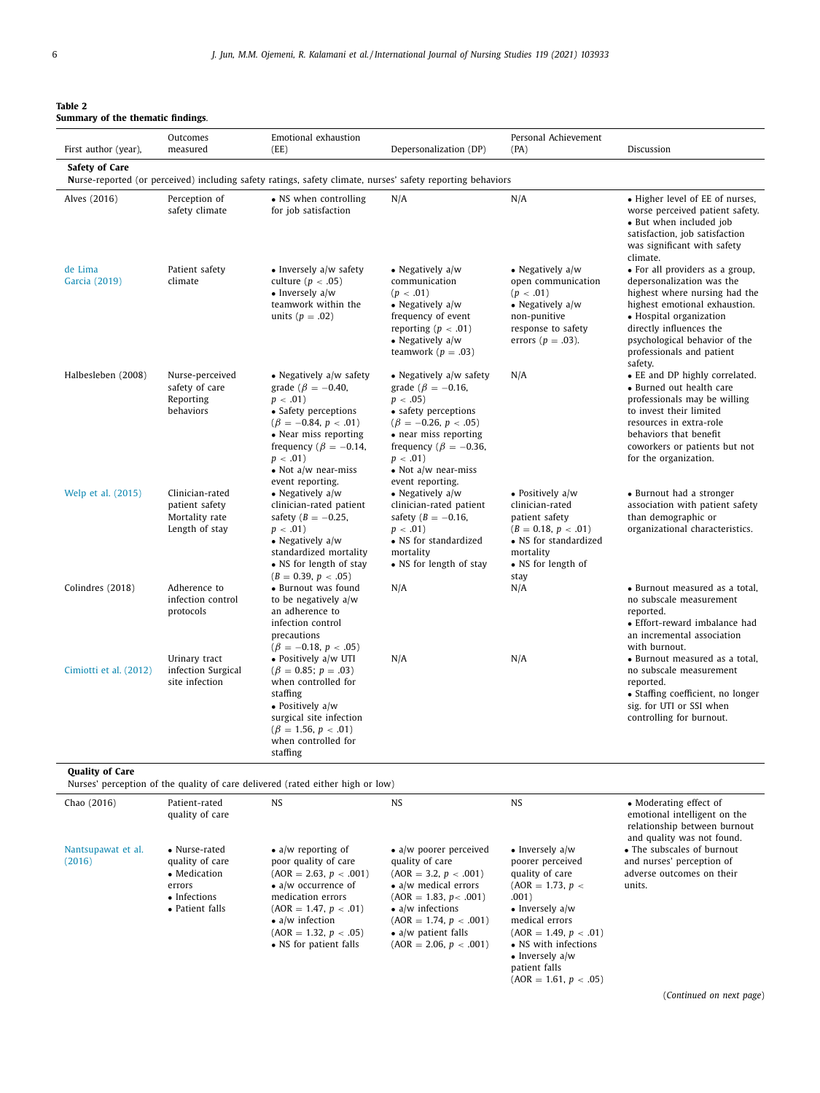<span id="page-5-0"></span>

| Table 2                       |  |  |
|-------------------------------|--|--|
| Summary of the thematic findi |  |  |

| First author (year),         | Outcomes<br>measured                                                                                  | Emotional exhaustion<br>(EE)                                                                                                                                                                                                                          | Depersonalization (DP)                                                                                                                                                                                                                                      | Personal Achievement<br>(PA)                                                                                                                                                                                                  | Discussion                                                                                                                                                                                                                                                    |
|------------------------------|-------------------------------------------------------------------------------------------------------|-------------------------------------------------------------------------------------------------------------------------------------------------------------------------------------------------------------------------------------------------------|-------------------------------------------------------------------------------------------------------------------------------------------------------------------------------------------------------------------------------------------------------------|-------------------------------------------------------------------------------------------------------------------------------------------------------------------------------------------------------------------------------|---------------------------------------------------------------------------------------------------------------------------------------------------------------------------------------------------------------------------------------------------------------|
| <b>Safety of Care</b>        |                                                                                                       | Nurse-reported (or perceived) including safety ratings, safety climate, nurses' safety reporting behaviors                                                                                                                                            |                                                                                                                                                                                                                                                             |                                                                                                                                                                                                                               |                                                                                                                                                                                                                                                               |
| Alves (2016)                 | Perception of<br>safety climate                                                                       | • NS when controlling<br>for job satisfaction                                                                                                                                                                                                         | N/A                                                                                                                                                                                                                                                         | N/A                                                                                                                                                                                                                           | • Higher level of EE of nurses,<br>worse perceived patient safety.<br>• But when included job<br>satisfaction, job satisfaction<br>was significant with safety<br>climate.                                                                                    |
| de Lima<br>Garcia (2019)     | Patient safety<br>climate                                                                             | $\bullet$ Inversely a/w safety<br>culture ( $p < .05$ )<br>$\bullet$ Inversely a/w<br>teamwork within the<br>units ( $p = .02$ )                                                                                                                      | • Negatively $a/w$<br>communication<br>(p < .01)<br>• Negatively $a/w$<br>frequency of event<br>reporting ( $p < .01$ )<br>• Negatively $a/w$<br>teamwork ( $p=.03$ )                                                                                       | • Negatively $a/w$<br>open communication<br>(p < .01)<br>• Negatively $a/w$<br>non-punitive<br>response to safety<br>errors ( $p = .03$ ).                                                                                    | • For all providers as a group,<br>depersonalization was the<br>highest where nursing had the<br>highest emotional exhaustion.<br>• Hospital organization<br>directly influences the<br>psychological behavior of the<br>professionals and patient<br>safety. |
| Halbesleben (2008)           | Nurse-perceived<br>safety of care<br>Reporting<br>behaviors                                           | • Negatively a/w safety<br>grade ( $\beta = -0.40$ ,<br>$p < .01$ )<br>• Safety perceptions<br>$(\beta = -0.84, p < .01)$<br>• Near miss reporting<br>frequency ( $\beta = -0.14$ ,<br>$p < .01$ )<br>$\bullet$ Not a/w near-miss<br>event reporting. | • Negatively a/w safety<br>grade ( $\beta = -0.16$ ,<br>$p < .05$ )<br>• safety perceptions<br>$(\beta = -0.26, p < .05)$<br>• near miss reporting<br>frequency ( $\beta = -0.36$ ,<br>$p < .01$ )<br>$\bullet$ Not a/w near-miss<br>event reporting.       | N/A                                                                                                                                                                                                                           | • EE and DP highly correlated.<br>• Burned out health care<br>professionals may be willing<br>to invest their limited<br>resources in extra-role<br>behaviors that benefit<br>coworkers or patients but not<br>for the organization.                          |
| Welp et al. (2015)           | Clinician-rated<br>patient safety<br>Mortality rate<br>Length of stay                                 | • Negatively $a/w$<br>clinician-rated patient<br>safety ( $B = -0.25$ ,<br>$p < .01$ )<br>$\bullet$ Negatively a/w<br>standardized mortality<br>• NS for length of stay<br>$(B = 0.39, p < .05)$                                                      | • Negatively $a/w$<br>clinician-rated patient<br>safety ( $B = -0.16$ ,<br>$p < .01$ )<br>• NS for standardized<br>mortality<br>• NS for length of stay                                                                                                     | • Positively $a/w$<br>clinician-rated<br>patient safety<br>$(B = 0.18, p < .01)$<br>• NS for standardized<br>mortality<br>• NS for length of<br>stay                                                                          | • Burnout had a stronger<br>association with patient safety<br>than demographic or<br>organizational characteristics.                                                                                                                                         |
| Colindres (2018)             | Adherence to<br>infection control<br>protocols                                                        | • Burnout was found<br>to be negatively a/w<br>an adherence to<br>infection control<br>precautions<br>$(\beta = -0.18, p < .05)$                                                                                                                      | N/A                                                                                                                                                                                                                                                         | N/A                                                                                                                                                                                                                           | • Burnout measured as a total,<br>no subscale measurement<br>reported.<br>• Effort-reward imbalance had<br>an incremental association<br>with burnout.                                                                                                        |
| Cimiotti et al. (2012)       | Urinary tract<br>infection Surgical<br>site infection                                                 | • Positively a/w UTI<br>$(\beta = 0.85; p = .03)$<br>when controlled for<br>staffing<br>• Positively $a/w$<br>surgical site infection<br>$(\beta = 1.56, p < .01)$<br>when controlled for<br>staffing                                                 | N/A                                                                                                                                                                                                                                                         | N/A                                                                                                                                                                                                                           | • Burnout measured as a total,<br>no subscale measurement<br>reported.<br>• Staffing coefficient, no longer<br>sig. for UTI or SSI when<br>controlling for burnout.                                                                                           |
| <b>Quality of Care</b>       |                                                                                                       | Nurses' perception of the quality of care delivered (rated either high or low)                                                                                                                                                                        |                                                                                                                                                                                                                                                             |                                                                                                                                                                                                                               |                                                                                                                                                                                                                                                               |
| Chao (2016)                  | Patient-rated<br>quality of care                                                                      | <b>NS</b>                                                                                                                                                                                                                                             | NS                                                                                                                                                                                                                                                          | <b>NS</b>                                                                                                                                                                                                                     | • Moderating effect of<br>emotional intelligent on the<br>relationship between burnout<br>and quality was not found.                                                                                                                                          |
| Nantsupawat et al.<br>(2016) | • Nurse-rated<br>quality of care<br>$\bullet$ Medication<br>errors<br>• Infections<br>• Patient falls | $\bullet$ a/w reporting of<br>poor quality of care<br>$(AOR = 2.63, p < .001)$<br>$\bullet$ a/w occurrence of<br>medication errors<br>$(AOR = 1.47, p < .01)$<br>• $a/w$ infection<br>$(AOR = 1.32, p < .05)$<br>• NS for patient falls               | $\bullet$ a/w poorer perceived<br>quality of care<br>$(AOR = 3.2, p < .001)$<br>$\bullet$ a/w medical errors<br>$(AOR = 1.83, p < .001)$<br>$\bullet$ a/w infections<br>$(AOR = 1.74, p < .001)$<br>$\bullet$ a/w patient falls<br>$(AOR = 2.06, p < .001)$ | • Inversely $a/w$<br>poorer perceived<br>quality of care<br>$(AOR = 1.73, p <$<br>.001)<br>$\bullet$ Inversely a/w<br>medical errors<br>$(AOR = 1.49, p < .01)$<br>• NS with infections<br>• Inversely $a/w$<br>patient falls | • The subscales of burnout<br>and nurses' perception of<br>adverse outcomes on their<br>units.                                                                                                                                                                |

(*Continued on next page*)

 $(AOR = 1.61, p < .05)$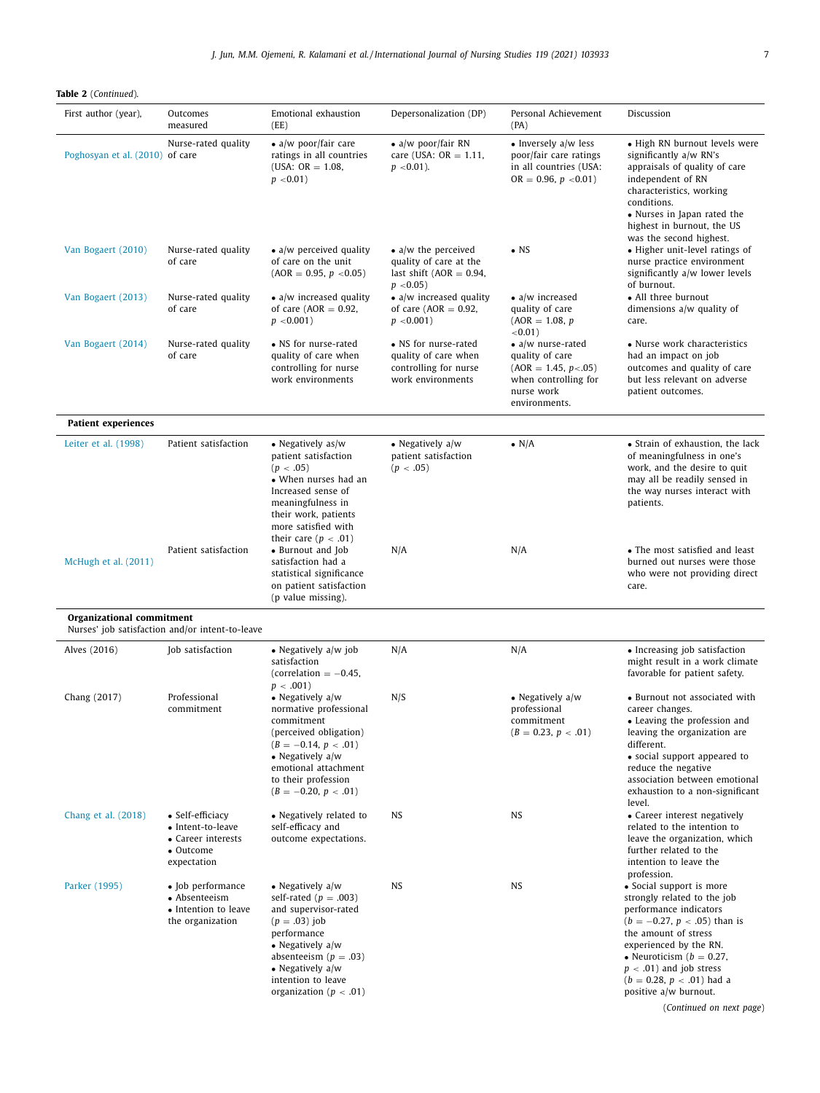**Table 2** (*Continued*).

| First author (year),            | Outcomes<br>measured                                                                    | Emotional exhaustion<br>(EE)                                                                                                                                                                                                         | Depersonalization (DP)                                                                               | Personal Achievement<br>(PA)                                                                                                   | Discussion                                                                                                                                                                                                                                                                                                              |
|---------------------------------|-----------------------------------------------------------------------------------------|--------------------------------------------------------------------------------------------------------------------------------------------------------------------------------------------------------------------------------------|------------------------------------------------------------------------------------------------------|--------------------------------------------------------------------------------------------------------------------------------|-------------------------------------------------------------------------------------------------------------------------------------------------------------------------------------------------------------------------------------------------------------------------------------------------------------------------|
| Poghosyan et al. (2010) of care | Nurse-rated quality                                                                     | $\bullet$ a/w poor/fair care<br>ratings in all countries<br>(USA: $OR = 1.08$ ,<br>$p < 0.01$ )                                                                                                                                      | $\bullet$ a/w poor/fair RN<br>care (USA: $OR = 1.11$ ,<br>$p < 0.01$ ).                              | $\bullet$ Inversely a/w less<br>poor/fair care ratings<br>in all countries (USA:<br>$OR = 0.96, p < 0.01$                      | • High RN burnout levels were<br>significantly a/w RN's<br>appraisals of quality of care<br>independent of RN<br>characteristics, working<br>conditions.<br>• Nurses in Japan rated the<br>highest in burnout, the US                                                                                                   |
| Van Bogaert (2010)              | Nurse-rated quality<br>of care                                                          | $\bullet$ a/w perceived quality<br>of care on the unit<br>$(AOR = 0.95, p < 0.05)$                                                                                                                                                   | $\bullet$ a/w the perceived<br>quality of care at the<br>last shift ( $AOR = 0.94$ ,<br>$p < 0.05$ ) | $\bullet$ NS                                                                                                                   | was the second highest.<br>• Higher unit-level ratings of<br>nurse practice environment<br>significantly a/w lower levels<br>of burnout.                                                                                                                                                                                |
| Van Bogaert (2013)              | Nurse-rated quality<br>of care                                                          | $\bullet$ a/w increased quality<br>of care ( $AOR = 0.92$ ,<br>$p < 0.001$ )                                                                                                                                                         | $\bullet$ a/w increased quality<br>of care ( $AOR = 0.92$ ,<br>$p < 0.001$ )                         | $\bullet$ a/w increased<br>quality of care<br>$(AOR = 1.08, p)$<br>$< 0.01$ )                                                  | • All three burnout<br>dimensions $a/w$ quality of<br>care.                                                                                                                                                                                                                                                             |
| Van Bogaert (2014)              | Nurse-rated quality<br>of care                                                          | • NS for nurse-rated<br>quality of care when<br>controlling for nurse<br>work environments                                                                                                                                           | • NS for nurse-rated<br>quality of care when<br>controlling for nurse<br>work environments           | $\bullet$ a/w nurse-rated<br>quality of care<br>$(AOR = 1.45, p < .05)$<br>when controlling for<br>nurse work<br>environments. | • Nurse work characteristics<br>had an impact on job<br>outcomes and quality of care<br>but less relevant on adverse<br>patient outcomes.                                                                                                                                                                               |
| <b>Patient experiences</b>      |                                                                                         |                                                                                                                                                                                                                                      |                                                                                                      |                                                                                                                                |                                                                                                                                                                                                                                                                                                                         |
| Leiter et al. (1998)            | Patient satisfaction                                                                    | • Negatively $as/w$<br>patient satisfaction<br>(p < .05)<br>• When nurses had an<br>Increased sense of<br>meaningfulness in<br>their work, patients<br>more satisfied with<br>their care ( $p < .01$ )                               | • Negatively a/w<br>patient satisfaction<br>(p < .05)                                                | $\bullet$ N/A                                                                                                                  | • Strain of exhaustion, the lack<br>of meaningfulness in one's<br>work, and the desire to quit<br>may all be readily sensed in<br>the way nurses interact with<br>patients.                                                                                                                                             |
| McHugh et al. (2011)            | Patient satisfaction                                                                    | • Burnout and Job<br>satisfaction had a<br>statistical significance<br>on patient satisfaction<br>(p value missing).                                                                                                                 | N/A                                                                                                  | N/A                                                                                                                            | • The most satisfied and least<br>burned out nurses were those<br>who were not providing direct<br>care.                                                                                                                                                                                                                |
| Organizational commitment       | Nurses' job satisfaction and/or intent-to-leave                                         |                                                                                                                                                                                                                                      |                                                                                                      |                                                                                                                                |                                                                                                                                                                                                                                                                                                                         |
| Alves (2016)                    | Job satisfaction                                                                        | $\bullet$ Negatively a/w job<br>satisfaction<br>(correlation $= -0.45$ ,<br>$p < .001$ )                                                                                                                                             | N/A                                                                                                  | N/A                                                                                                                            | • Increasing job satisfaction<br>might result in a work climate<br>favorable for patient safety.                                                                                                                                                                                                                        |
| Chang (2017)                    | Professional<br>commitment                                                              | $\bullet$ Negatively a/w<br>normative professional<br>commitment<br>(perceived obligation)<br>$(B = -0.14, p < .01)$<br>• Negatively $a/w$<br>emotional attachment<br>to their profession<br>$(B = -0.20, p < .01)$                  | N/S                                                                                                  | • Negatively $a/w$<br>professional<br>commitment<br>$(B = 0.23, p < .01)$                                                      | • Burnout not associated with<br>career changes.<br>• Leaving the profession and<br>leaving the organization are<br>different.<br>• social support appeared to<br>reduce the negative<br>association between emotional<br>exhaustion to a non-significant<br>level.                                                     |
| Chang et al. (2018)             | • Self-efficiacy<br>• Intent-to-leave<br>• Career interests<br>• Outcome<br>expectation | • Negatively related to<br>self-efficacy and<br>outcome expectations.                                                                                                                                                                | NS                                                                                                   | NS                                                                                                                             | • Career interest negatively<br>related to the intention to<br>leave the organization, which<br>further related to the<br>intention to leave the<br>profession.                                                                                                                                                         |
| Parker (1995)                   | • Job performance<br>• Absenteeism<br>• Intention to leave<br>the organization          | • Negatively $a/w$<br>self-rated ( $p = .003$ )<br>and supervisor-rated<br>$(p=.03)$ job<br>performance<br>• Negatively $a/w$<br>absenteeism ( $p = .03$ )<br>• Negatively $a/w$<br>intention to leave<br>organization ( $p < .01$ ) | <b>NS</b>                                                                                            | <b>NS</b>                                                                                                                      | • Social support is more<br>strongly related to the job<br>performance indicators<br>$(b = -0.27, p < .05)$ than is<br>the amount of stress<br>experienced by the RN.<br>• Neuroticism ( $b = 0.27$ ,<br>$p < .01$ ) and job stress<br>$(b = 0.28, p < .01)$ had a<br>positive a/w burnout.<br>(Continued on next page) |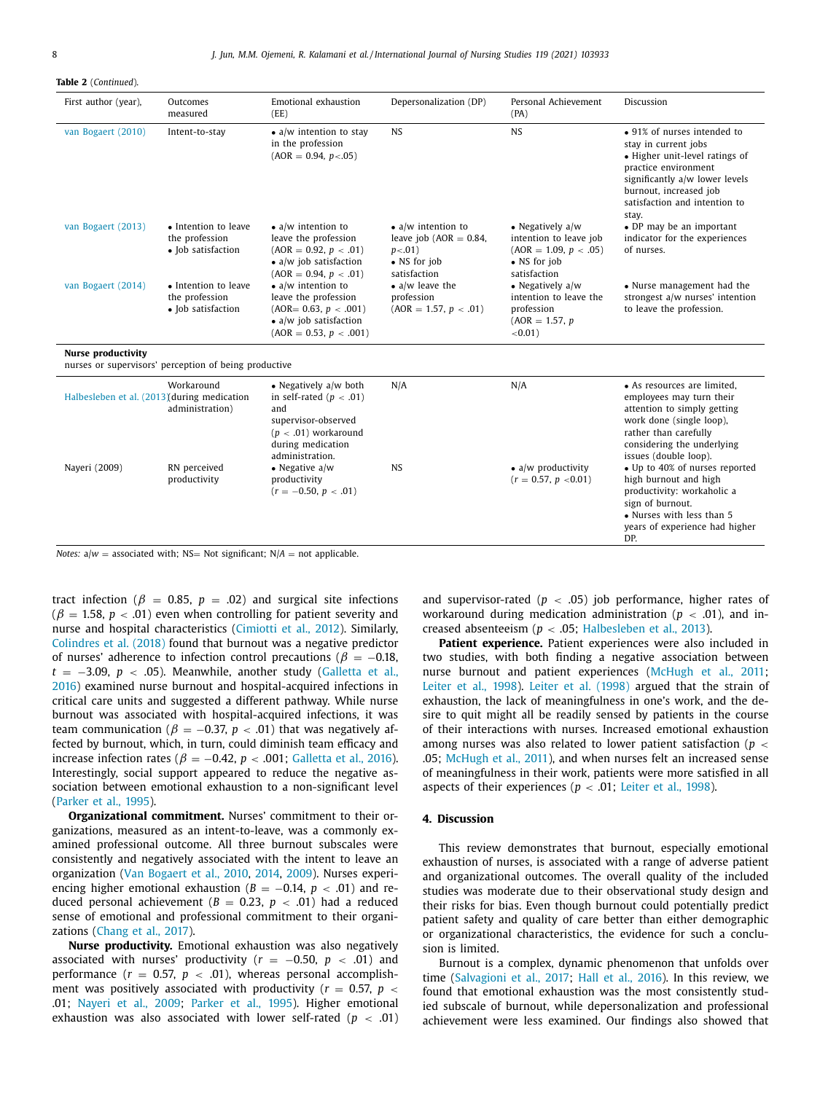**Table 2** (*Continued*).

| First author (year),                        | Outcomes<br>measured                                         | Emotional exhaustion<br>(EE)                                                                                                                                                           | Depersonalization (DP)                                                                                  | Personal Achievement<br>(PA)                                                                            | Discussion                                                                                                                                                                                                          |
|---------------------------------------------|--------------------------------------------------------------|----------------------------------------------------------------------------------------------------------------------------------------------------------------------------------------|---------------------------------------------------------------------------------------------------------|---------------------------------------------------------------------------------------------------------|---------------------------------------------------------------------------------------------------------------------------------------------------------------------------------------------------------------------|
| van Bogaert (2010)                          | Intent-to-stay                                               | $\bullet$ a/w intention to stay<br>in the profession<br>$(AOR = 0.94, p < .05)$                                                                                                        | <b>NS</b>                                                                                               | <b>NS</b>                                                                                               | • 91% of nurses intended to<br>stay in current jobs<br>• Higher unit-level ratings of<br>practice environment<br>significantly a/w lower levels<br>burnout, increased job<br>satisfaction and intention to<br>stay. |
| van Bogaert (2013)                          | • Intention to leave<br>the profession<br>• Job satisfaction | $\bullet$ a/w intention to<br>leave the profession<br>$(AOR = 0.92, p < .01)$<br>$\bullet$ a/w job satisfaction<br>$(AOR = 0.94, p < .01)$                                             | $\bullet$ a/w intention to<br>leave job ( $AOR = 0.84$ ,<br>$p < .01$ )<br>• NS for job<br>satisfaction | • Negatively $a/w$<br>intention to leave job<br>$(AOR = 1.09, p < .05)$<br>• NS for job<br>satisfaction | • DP may be an important<br>indicator for the experiences<br>of nurses.                                                                                                                                             |
| van Bogaert (2014)                          | • Intention to leave<br>the profession<br>• Job satisfaction | $\bullet$ a/w intention to<br>leave the profession<br>$(AOR = 0.63, p < .001)$<br>$\bullet$ a/w job satisfaction<br>$(AOR = 0.53, p < .001)$                                           | $\bullet$ a/w leave the<br>profession<br>$(AOR = 1.57, p < .01)$                                        | • Negatively $a/w$<br>intention to leave the<br>profession<br>$(AOR = 1.57, p)$<br>$< 0.01$ )           | • Nurse management had the<br>strongest a/w nurses' intention<br>to leave the profession.                                                                                                                           |
| <b>Nurse productivity</b>                   | nurses or supervisors' perception of being productive        |                                                                                                                                                                                        |                                                                                                         |                                                                                                         |                                                                                                                                                                                                                     |
| Halbesleben et al. (2013) during medication | Workaround<br>administration)                                | • Negatively a/w both<br>in self-rated ( $p < .01$ )<br>and<br>supervisor-observed<br>$(p < .01)$ workaround<br>during medication<br>administration.                                   | N/A                                                                                                     | N/A                                                                                                     | • As resources are limited,<br>employees may turn their<br>attention to simply getting<br>work done (single loop),<br>rather than carefully<br>considering the underlying<br>issues (double loop).                  |
| Nayeri (2009)                               | RN perceived<br>productivity                                 | • Negative $a/w$<br>productivity<br>$(r = -0.50, p < .01)$<br>Notes: $\mathbf{a} \cdot \mathbf{b} = \mathbf{a}$ associated with: NS Not significant: $N/A = \mathbf{a}$ and applicable | <b>NS</b>                                                                                               | $\bullet$ a/w productivity<br>$(r = 0.57, p < 0.01)$                                                    | • Up to 40% of nurses reported<br>high burnout and high<br>productivity: workaholic a<br>sign of burnout.<br>• Nurses with less than 5<br>years of experience had higher<br>DP.                                     |

*Notes:*  $a/w =$  associated with; NS= Not significant;  $N/A =$  not applicable.

tract infection ( $\beta$  = 0.85,  $p$  = .02) and surgical site infections  $(\beta = 1.58, p < .01)$  even when controlling for patient severity and nurse and hospital characteristics [\(Cimiotti](#page-9-0) et al., 2012). Similarly, [Colindres](#page-9-0) et al. (2018) found that burnout was a negative predictor of nurses' adherence to infection control precautions ( $\beta = -0.18$ , *t* = −3.09, *p* < .05). Meanwhile, another study (Galletta et al., 2016) examined nurse burnout and [hospital-acquired](#page-9-0) infections in critical care units and suggested a different pathway. While nurse burnout was associated with hospital-acquired infections, it was team communication ( $\beta = -0.37$ ,  $p < .01$ ) that was negatively affected by burnout, which, in turn, could diminish team efficacy and increase infection rates ( $\beta = -0.42$ ,  $p < .001$ ; [Galletta](#page-9-0) et al., 2016). Interestingly, social support appeared to reduce the negative association between emotional exhaustion to a non-significant level [\(Parker](#page-10-0) et al., 1995).

**Organizational commitment.** Nurses' commitment to their organizations, measured as an intent-to-leave, was a commonly examined professional outcome. All three burnout subscales were consistently and negatively associated with the intent to leave an organization (Van [Bogaert](#page-10-0) et al., 2010, [2014,](#page-10-0) [2009\)](#page-10-0). Nurses experiencing higher emotional exhaustion  $(B = -0.14, p < .01)$  and reduced personal achievement ( $B = 0.23$ ,  $p < .01$ ) had a reduced sense of emotional and professional commitment to their organizations [\(Chang](#page-9-0) et al., 2017).

**Nurse productivity.** Emotional exhaustion was also negatively associated with nurses' productivity (*r* = −0.50, *p* < .01) and performance  $(r = 0.57, p < .01)$ , whereas personal accomplishment was positively associated with productivity ( $r = 0.57$ ,  $p <$ .01; [Nayeri](#page-10-0) et al., 2009; [Parker](#page-10-0) et al., 1995). Higher emotional exhaustion was also associated with lower self-rated (*p* < .01) and supervisor-rated  $(p < .05)$  job performance, higher rates of workaround during medication administration ( $p < .01$ ), and increased absenteeism (*p* < .05; [Halbesleben](#page-9-0) et al., 2013).

**Patient experience.** Patient experiences were also included in two studies, with both finding a negative association between nurse burnout and patient experiences [\(McHugh](#page-10-0) et al., 2011; [Leiter](#page-10-0) et al., 1998). Leiter et al. [\(1998\)](#page-10-0) argued that the strain of exhaustion, the lack of meaningfulness in one's work, and the desire to quit might all be readily sensed by patients in the course of their interactions with nurses. Increased emotional exhaustion among nurses was also related to lower patient satisfaction (*p* < .05; [McHugh](#page-10-0) et al., 2011), and when nurses felt an increased sense of meaningfulness in their work, patients were more satisfied in all aspects of their experiences ( $p < .01$ ; [Leiter](#page-10-0) et al., 1998).

## **4. Discussion**

This review demonstrates that burnout, especially emotional exhaustion of nurses, is associated with a range of adverse patient and organizational outcomes. The overall quality of the included studies was moderate due to their observational study design and their risks for bias. Even though burnout could potentially predict patient safety and quality of care better than either demographic or organizational characteristics, the evidence for such a conclusion is limited.

Burnout is a complex, dynamic phenomenon that unfolds over time [\(Salvagioni](#page-10-0) et al., 2017; Hall et al., [2016\)](#page-9-0). In this review, we found that emotional exhaustion was the most consistently studied subscale of burnout, while depersonalization and professional achievement were less examined. Our findings also showed that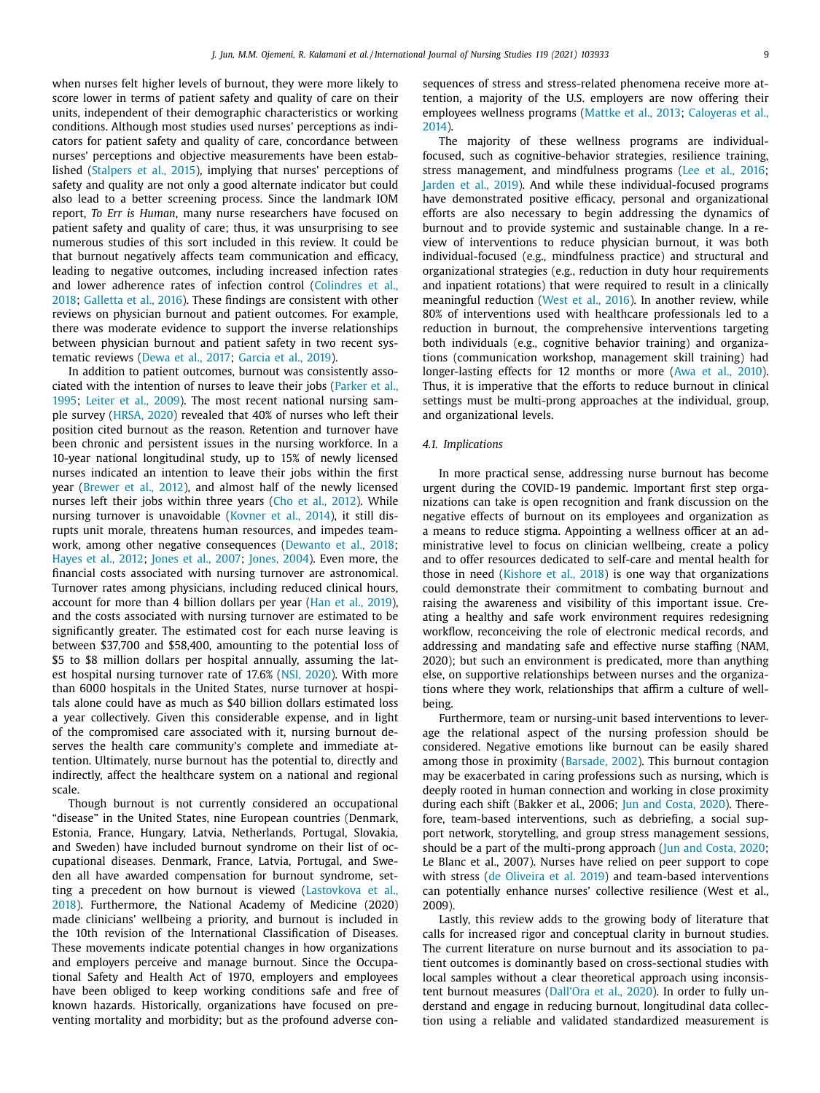when nurses felt higher levels of burnout, they were more likely to score lower in terms of patient safety and quality of care on their units, independent of their demographic characteristics or working conditions. Although most studies used nurses' perceptions as indicators for patient safety and quality of care, concordance between nurses' perceptions and objective measurements have been established [\(Stalpers](#page-10-0) et al., 2015), implying that nurses' perceptions of safety and quality are not only a good alternate indicator but could also lead to a better screening process. Since the landmark IOM report, *To Err is Human*, many nurse researchers have focused on patient safety and quality of care; thus, it was unsurprising to see numerous studies of this sort included in this review. It could be that burnout negatively affects team communication and efficacy, leading to negative outcomes, including increased infection rates and lower [adherence](#page-9-0) rates of infection control (Colindres et al., 2018; [Galletta](#page-9-0) et al., 2016). These findings are consistent with other reviews on physician burnout and patient outcomes. For example, there was moderate evidence to support the inverse relationships between physician burnout and patient safety in two recent systematic reviews [\(Dewa](#page-9-0) et al., 2017; [Garcia](#page-9-0) et al., 2019).

In addition to patient outcomes, burnout was consistently associated with the [intention](#page-10-0) of nurses to leave their jobs (Parker et al., 1995; [Leiter](#page-10-0) et al., 2009). The most recent national nursing sample survey [\(HRSA,](#page-10-0) 2020) revealed that 40% of nurses who left their position cited burnout as the reason. Retention and turnover have been chronic and persistent issues in the nursing workforce. In a 10-year national longitudinal study, up to 15% of newly licensed nurses indicated an intention to leave their jobs within the first year [\(Brewer](#page-9-0) et al., 2012), and almost half of the newly licensed nurses left their jobs within three years (Cho et al., [2012\)](#page-9-0). While nursing turnover is unavoidable [\(Kovner](#page-10-0) et al., 2014), it still disrupts unit morale, threatens human resources, and impedes teamwork, among other negative consequences [\(Dewanto](#page-9-0) et al., 2018; [Hayes](#page-9-0) et al., 2012; [Jones](#page-10-0) et al., 2007; [Jones,](#page-10-0) 2004). Even more, the financial costs associated with nursing turnover are astronomical. Turnover rates among physicians, including reduced clinical hours, account for more than 4 billion dollars per year (Han et al., [2019\)](#page-9-0), and the costs associated with nursing turnover are estimated to be significantly greater. The estimated cost for each nurse leaving is between \$37,700 and \$58,400, amounting to the potential loss of \$5 to \$8 million dollars per hospital annually, assuming the latest hospital nursing turnover rate of 17.6% (NSI, [2020\)](#page-10-0). With more than 6000 hospitals in the United States, nurse turnover at hospitals alone could have as much as \$40 billion dollars estimated loss a year collectively. Given this considerable expense, and in light of the compromised care associated with it, nursing burnout deserves the health care community's complete and immediate attention. Ultimately, nurse burnout has the potential to, directly and indirectly, affect the healthcare system on a national and regional scale.

Though burnout is not currently considered an occupational "disease" in the United States, nine European countries (Denmark, Estonia, France, Hungary, Latvia, Netherlands, Portugal, Slovakia, and Sweden) have included burnout syndrome on their list of occupational diseases. Denmark, France, Latvia, Portugal, and Sweden all have awarded compensation for burnout syndrome, setting a precedent on how burnout is viewed (Lastovkova et al., 2018). [Furthermore,](#page-10-0) the National Academy of Medicine (2020) made clinicians' wellbeing a priority, and burnout is included in the 10th revision of the International Classification of Diseases. These movements indicate potential changes in how organizations and employers perceive and manage burnout. Since the Occupational Safety and Health Act of 1970, employers and employees have been obliged to keep working conditions safe and free of known hazards. Historically, organizations have focused on preventing mortality and morbidity; but as the profound adverse consequences of stress and stress-related phenomena receive more attention, a majority of the U.S. employers are now offering their [employees](#page-9-0) wellness programs [\(Mattke](#page-10-0) et al., 2013; Caloyeras et al., 2014).

The majority of these wellness programs are individualfocused, such as cognitive-behavior strategies, resilience training, stress management, and mindfulness programs (Lee et al., [2016;](#page-10-0) [Jarden](#page-10-0) et al., 2019). And while these individual-focused programs have demonstrated positive efficacy, personal and organizational efforts are also necessary to begin addressing the dynamics of burnout and to provide systemic and sustainable change. In a review of interventions to reduce physician burnout, it was both individual-focused (e.g., mindfulness practice) and structural and organizational strategies (e.g., reduction in duty hour requirements and inpatient rotations) that were required to result in a clinically meaningful reduction [\(West](#page-10-0) et al., 2016). In another review, while 80% of interventions used with healthcare professionals led to a reduction in burnout, the comprehensive interventions targeting both individuals (e.g., cognitive behavior training) and organizations (communication workshop, management skill training) had longer-lasting effects for 12 months or more (Awa et al., [2010\)](#page-9-0). Thus, it is imperative that the efforts to reduce burnout in clinical settings must be multi-prong approaches at the individual, group, and organizational levels.

#### *4.1. Implications*

In more practical sense, addressing nurse burnout has become urgent during the COVID-19 pandemic. Important first step organizations can take is open recognition and frank discussion on the negative effects of burnout on its employees and organization as a means to reduce stigma. Appointing a wellness officer at an administrative level to focus on clinician wellbeing, create a policy and to offer resources dedicated to self-care and mental health for those in need [\(Kishore](#page-10-0) et al., 2018) is one way that organizations could demonstrate their commitment to combating burnout and raising the awareness and visibility of this important issue. Creating a healthy and safe work environment requires redesigning workflow, reconceiving the role of electronic medical records, and addressing and mandating safe and effective nurse staffing (NAM, 2020); but such an environment is predicated, more than anything else, on supportive relationships between nurses and the organizations where they work, relationships that affirm a culture of wellbeing.

Furthermore, team or nursing-unit based interventions to leverage the relational aspect of the nursing profession should be considered. Negative emotions like burnout can be easily shared among those in proximity [\(Barsade,](#page-9-0) 2002). This burnout contagion may be exacerbated in caring professions such as nursing, which is deeply rooted in human connection and working in close proximity during each shift (Bakker et al., 2006; Jun and [Costa,](#page-10-0) 2020). Therefore, team-based interventions, such as debriefing, a social support network, storytelling, and group stress management sessions, should be a part of the multi-prong approach (Jun and [Costa,](#page-10-0) 2020; Le Blanc et al., 2007). Nurses have relied on peer support to cope with stress (de [Oliveira](#page-9-0) et al. 2019) and team-based interventions can potentially enhance nurses' collective resilience (West et al., 2009).

Lastly, this review adds to the growing body of literature that calls for increased rigor and conceptual clarity in burnout studies. The current literature on nurse burnout and its association to patient outcomes is dominantly based on cross-sectional studies with local samples without a clear theoretical approach using inconsistent burnout measures [\(Dall'Ora](#page-9-0) et al., 2020). In order to fully understand and engage in reducing burnout, longitudinal data collection using a reliable and validated standardized measurement is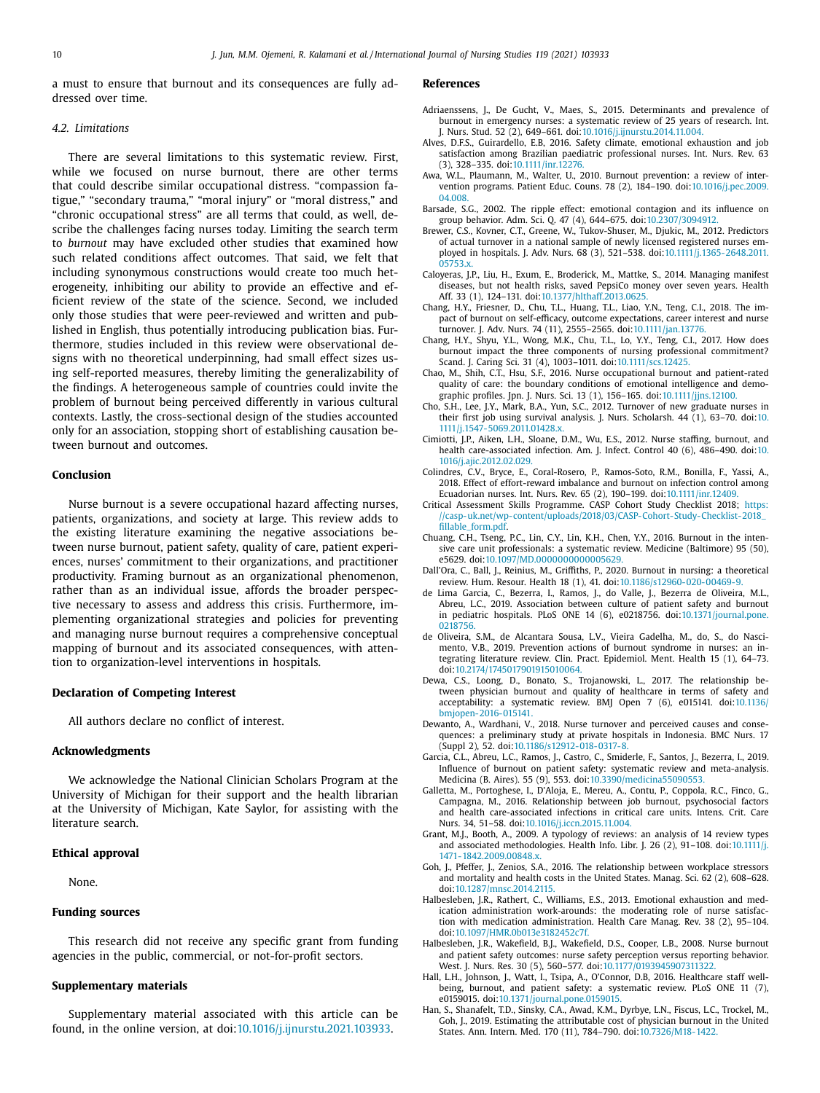<span id="page-9-0"></span>a must to ensure that burnout and its consequences are fully addressed over time.

## *4.2. Limitations*

There are several limitations to this systematic review. First, while we focused on nurse burnout, there are other terms that could describe similar occupational distress. "compassion fatigue," "secondary trauma," "moral injury" or "moral distress," and "chronic occupational stress" are all terms that could, as well, describe the challenges facing nurses today. Limiting the search term to *burnout* may have excluded other studies that examined how such related conditions affect outcomes. That said, we felt that including synonymous constructions would create too much heterogeneity, inhibiting our ability to provide an effective and efficient review of the state of the science. Second, we included only those studies that were peer-reviewed and written and published in English, thus potentially introducing publication bias. Furthermore, studies included in this review were observational designs with no theoretical underpinning, had small effect sizes using self-reported measures, thereby limiting the generalizability of the findings. A heterogeneous sample of countries could invite the problem of burnout being perceived differently in various cultural contexts. Lastly, the cross-sectional design of the studies accounted only for an association, stopping short of establishing causation between burnout and outcomes.

#### **Conclusion**

Nurse burnout is a severe occupational hazard affecting nurses, patients, organizations, and society at large. This review adds to the existing literature examining the negative associations between nurse burnout, patient safety, quality of care, patient experiences, nurses' commitment to their organizations, and practitioner productivity. Framing burnout as an organizational phenomenon, rather than as an individual issue, affords the broader perspective necessary to assess and address this crisis. Furthermore, implementing organizational strategies and policies for preventing and managing nurse burnout requires a comprehensive conceptual mapping of burnout and its associated consequences, with attention to organization-level interventions in hospitals.

#### **Declaration of Competing Interest**

All authors declare no conflict of interest.

## **Acknowledgments**

We acknowledge the National Clinician Scholars Program at the University of Michigan for their support and the health librarian at the University of Michigan, Kate Saylor, for assisting with the literature search.

## **Ethical approval**

None.

## **Funding sources**

This research did not receive any specific grant from funding agencies in the public, commercial, or not-for-profit sectors.

#### **Supplementary materials**

Supplementary material associated with this article can be found, in the online version, at doi[:10.1016/j.ijnurstu.2021.103933.](https://doi.org/10.1016/j.ijnurstu.2021.103933)

#### **References**

- Adriaenssens, J., De Gucht, V., Maes, S., 2015. Determinants and prevalence of burnout in emergency nurses: a systematic review of 25 years of research. Int. J. Nurs. Stud. 52 (2), 649–661. doi[:10.1016/j.ijnurstu.2014.11.004.](https://doi.org/10.1016/j.ijnurstu.2014.11.004)
- Alves, D.F.S., Guirardello, E.B, 2016. Safety climate, emotional exhaustion and job satisfaction among Brazilian paediatric professional nurses. Int. Nurs. Rev. 63 (3), 328–335. doi[:10.1111/inr.12276.](https://doi.org/10.1111/inr.12276)
- Awa, W.L., Plaumann, M., Walter, U., 2010. Burnout prevention: a review of intervention programs. Patient Educ. Couns. 78 (2), 184–190. [doi:10.1016/j.pec.2009.](https://doi.org/10.1016/j.pec.2009.04.008) 04.008.
- Barsade, S.G., 2002. The ripple effect: emotional contagion and its influence on group behavior. Adm. Sci. Q. 47 (4), 644–675. doi[:10.2307/3094912.](https://doi.org/10.2307/3094912)
- Brewer, C.S., Kovner, C.T., Greene, W., Tukov-Shuser, M., Djukic, M., 2012. Predictors of actual turnover in a national sample of newly licensed registered nurses employed in hospitals. J. Adv. Nurs. 68 (3), 521–538. [doi:10.1111/j.1365-2648.2011.](https://doi.org/10.1111/j.1365-2648.2011.05753.x) 05753.x.
- Caloyeras, J.P., Liu, H., Exum, E., Broderick, M., Mattke, S., 2014. Managing manifest diseases, but not health risks, saved PepsiCo money over seven years. Health Aff. 33 (1), 124–131. doi[:10.1377/hlthaff.2013.0625.](https://doi.org/10.1377/hlthaff.2013.0625)
- Chang, H.Y., Friesner, D., Chu, T.L., Huang, T.L., Liao, Y.N., Teng, C.I., 2018. The impact of burnout on self-efficacy, outcome expectations, career interest and nurse turnover. J. Adv. Nurs. 74 (11), 2555–2565. doi[:10.1111/jan.13776.](https://doi.org/10.1111/jan.13776)
- Chang, H.Y., Shyu, Y.L., Wong, M.K., Chu, T.L., Lo, Y.Y., Teng, C.I., 2017. How does burnout impact the three components of nursing professional commitment? Scand. J. Caring Sci. 31 (4), 1003–1011. doi[:10.1111/scs.12425.](https://doi.org/10.1111/scs.12425)
- Chao, M., Shih, C.T., Hsu, S.F., 2016. Nurse occupational burnout and patient-rated quality of care: the boundary conditions of emotional intelligence and demographic profiles. Jpn. J. Nurs. Sci. 13 (1), 156–165. doi[:10.1111/jjns.12100.](https://doi.org/10.1111/jjns.12100)
- Cho, S.H., Lee, J.Y., Mark, B.A., Yun, S.C., 2012. Turnover of new graduate nurses in their first job using survival analysis. J. Nurs. Scholarsh. 44 (1), 63–70. doi:10. [1111/j.1547-5069.2011.01428.x.](https://doi.org/10.1111/j.1547-5069.2011.01428.x)
- Cimiotti, J.P., Aiken, L.H., Sloane, D.M., Wu, E.S., 2012. Nurse staffing, burnout, and health care-associated infection. Am. J. Infect. Control 40 (6), 486–490. doi:10. [1016/j.ajic.2012.02.029.](https://doi.org/10.1016/j.ajic.2012.02.029)
- Colindres, C.V., Bryce, E., Coral-Rosero, P., Ramos-Soto, R.M., Bonilla, F., Yassi, A., 2018. Effect of effort-reward imbalance and burnout on infection control among Ecuadorian nurses. Int. Nurs. Rev. 65 (2), 190–199. doi[:10.1111/inr.12409.](https://doi.org/10.1111/inr.12409)
- Critical Assessment Skills Programme. CASP Cohort Study Checklist 2018; https: [//casp-uk.net/wp-content/uploads/2018/03/CASP-Cohort-Study-Checklist-2018\\_](https://casp-uk.net/wp-content/uploads/2018/03/CASP-Cohort-Study-Checklist-2018_fillable_form.pdf) fillable\_form.pdf.
- Chuang, C.H., Tseng, P.C., Lin, C.Y., Lin, K.H., Chen, Y.Y., 2016. Burnout in the intensive care unit professionals: a systematic review. Medicine (Baltimore) 95 (50), e5629. doi[:10.1097/MD.0000000000005629.](https://doi.org/10.1097/MD.0000000000005629)
- Dall'Ora, C., Ball, J., Reinius, M., Griffiths, P., 2020. Burnout in nursing: a theoretical review. Hum. Resour. Health 18 (1), 41. doi[:10.1186/s12960-020-00469-9.](https://doi.org/10.1186/s12960-020-00469-9)
- de Lima Garcia, C., Bezerra, I., Ramos, J., do Valle, J., Bezerra de Oliveira, M.L., Abreu, L.C., 2019. Association between culture of patient safety and burnout in pediatric hospitals. PLoS ONE 14 (6), e0218756. [doi:10.1371/journal.pone.](https://doi.org/10.1371/journal.pone.0218756) 0218756.
- de Oliveira, S.M., de Alcantara Sousa, L.V., Vieira Gadelha, M., do, S., do Nascimento, V.B., 2019. Prevention actions of burnout syndrome in nurses: an integrating literature review. Clin. Pract. Epidemiol. Ment. Health 15 (1), 64–73. doi[:10.2174/1745017901915010064.](https://doi.org/10.2174/1745017901915010064)
- Dewa, C.S., Loong, D., Bonato, S., Trojanowski, L., 2017. The relationship between physician burnout and quality of healthcare in terms of safety and acceptability: a systematic review. BMJ Open 7 (6), e015141. doi:10.1136/ [bmjopen-2016-015141.](https://doi.org/10.1136/bmjopen-2016-015141)
- Dewanto, A., Wardhani, V., 2018. Nurse turnover and perceived causes and consequences: a preliminary study at private hospitals in Indonesia. BMC Nurs. 17 (Suppl 2), 52. doi[:10.1186/s12912-018-0317-8.](https://doi.org/10.1186/s12912-018-0317-8)
- Garcia, C.L., Abreu, L.C., Ramos, J., Castro, C., Smiderle, F., Santos, J., Bezerra, I., 2019. Influence of burnout on patient safety: systematic review and meta-analysis. Medicina (B. Aires). 55 (9), 553. doi[:10.3390/medicina55090553.](https://doi.org/10.3390/medicina55090553)
- Galletta, M., Portoghese, I., D'Aloja, E., Mereu, A., Contu, P., Coppola, R.C., Finco, G., Campagna, M., 2016. Relationship between job burnout, psychosocial factors and health care-associated infections in critical care units. Intens. Crit. Care Nurs. 34, 51–58. doi[:10.1016/j.iccn.2015.11.004.](https://doi.org/10.1016/j.iccn.2015.11.004)
- Grant, M.J., Booth, A., 2009. A typology of reviews: an analysis of 14 review types and associated methodologies. Health Info. Libr. J. 26 (2), 91-108. doi:10.1111/j. [1471-1842.2009.00848.x.](https://doi.org/10.1111/j.1471-1842.2009.00848.x)
- Goh, J., Pfeffer, J., Zenios, S.A., 2016. The relationship between workplace stressors and mortality and health costs in the United States. Manag. Sci. 62 (2), 608–628. doi[:10.1287/mnsc.2014.2115.](https://doi.org/10.1287/mnsc.2014.2115)
- Halbesleben, J.R., Rathert, C., Williams, E.S., 2013. Emotional exhaustion and medication administration work-arounds: the moderating role of nurse satisfaction with medication administration. Health Care Manag. Rev. 38 (2), 95–104. doi[:10.1097/HMR.0b013e3182452c7f.](https://doi.org/10.1097/HMR.0b013e3182452c7f)
- Halbesleben, J.R., Wakefield, B.J., Wakefield, D.S., Cooper, L.B., 2008. Nurse burnout and patient safety outcomes: nurse safety perception versus reporting behavior. West. J. Nurs. Res. 30 (5), 560–577. doi[:10.1177/0193945907311322.](https://doi.org/10.1177/0193945907311322)
- Hall, L.H., Johnson, J., Watt, I., Tsipa, A., O'Connor, D.B, 2016. Healthcare staff wellbeing, burnout, and patient safety: a systematic review. PLoS ONE 11 (7), e0159015. doi[:10.1371/journal.pone.0159015.](https://doi.org/10.1371/journal.pone.0159015)
- Han, S., Shanafelt, T.D., Sinsky, C.A., Awad, K.M., Dyrbye, L.N., Fiscus, L.C., Trockel, M., Goh, J., 2019. Estimating the attributable cost of physician burnout in the United States. Ann. Intern. Med. 170 (11), 784–790. doi[:10.7326/M18-1422.](https://doi.org/10.7326/M18-1422)